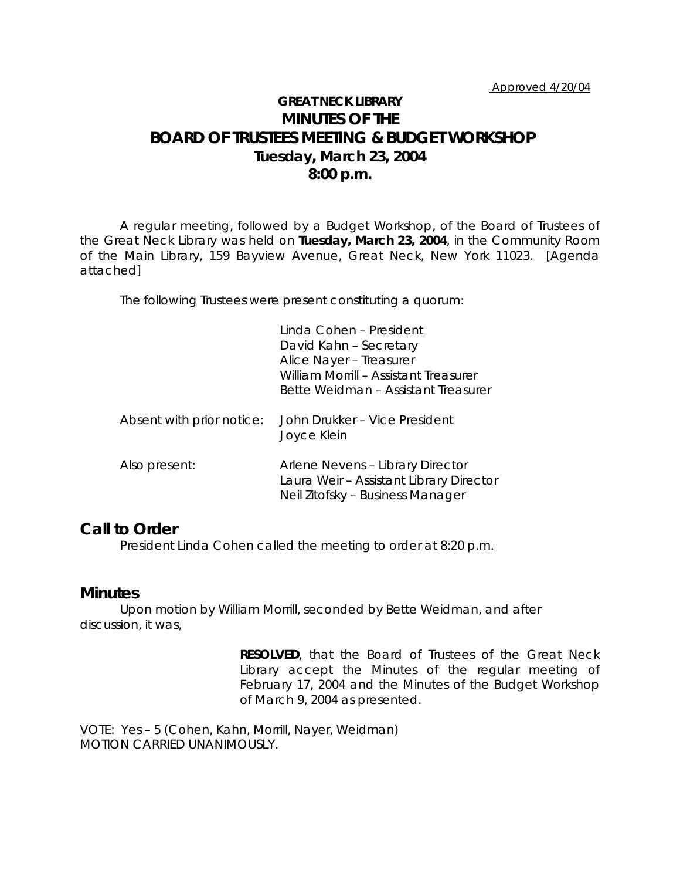# **GREAT NECK LIBRARY MINUTES OF THE BOARD OF TRUSTEES MEETING & BUDGET WORKSHOP Tuesday, March 23, 2004 8:00 p.m.**

A regular meeting, followed by a Budget Workshop, of the Board of Trustees of the Great Neck Library was held on **Tuesday, March 23, 2004**, in the Community Room of the Main Library, 159 Bayview Avenue, Great Neck, New York 11023. [Agenda attached]

The following Trustees were present constituting a quorum:

|                           | Linda Cohen - President<br>David Kahn - Secretary<br>Alice Nayer - Treasurer<br>William Morrill - Assistant Treasurer<br>Bette Weidman – Assistant Treasurer |
|---------------------------|--------------------------------------------------------------------------------------------------------------------------------------------------------------|
| Absent with prior notice: | John Drukker – Vice President<br>Joyce Klein                                                                                                                 |
| Also present:             | Arlene Nevens - Library Director<br>Laura Weir - Assistant Library Director<br>Neil Zitofsky – Business Manager                                              |

## **Call to Order**

President Linda Cohen called the meeting to order at 8:20 p.m.

## **Minutes**

Upon motion by William Morrill, seconded by Bette Weidman, and after discussion, it was,

> **RESOLVED**, that the Board of Trustees of the Great Neck Library accept the Minutes of the regular meeting of February 17, 2004 and the Minutes of the Budget Workshop of March 9, 2004 as presented.

VOTE:Yes – 5 (Cohen, Kahn, Morrill, Nayer, Weidman) *MOTION CARRIED UNANIMOUSLY.*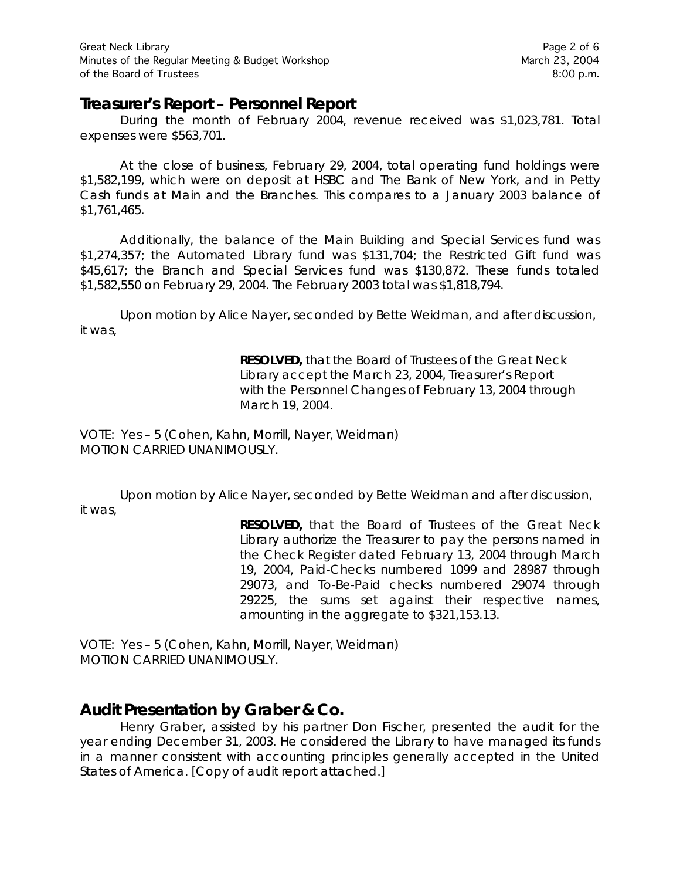## **Treasurer's Report – Personnel Report**

During the month of February 2004, revenue received was \$1,023,781. Total expenses were \$563,701.

At the close of business, February 29, 2004, total operating fund holdings were \$1,582,199, which were on deposit at HSBC and The Bank of New York, and in Petty Cash funds at Main and the Branches. This compares to a January 2003 balance of \$1,761,465.

Additionally, the balance of the Main Building and Special Services fund was \$1,274,357; the Automated Library fund was \$131,704; the Restricted Gift fund was \$45,617; the Branch and Special Services fund was \$130,872. These funds totaled \$1,582,550 on February 29, 2004. The February 2003 total was \$1,818,794.

Upon motion by Alice Nayer, seconded by Bette Weidman, and after discussion, it was,

> **RESOLVED,** that the Board of Trustees of the Great Neck Library accept the March 23, 2004, Treasurer's Report with the Personnel Changes of February 13, 2004 through March 19, 2004.

VOTE:Yes – 5 (Cohen, Kahn, Morrill, Nayer, Weidman) *MOTION CARRIED UNANIMOUSLY.*

Upon motion by Alice Nayer, seconded by Bette Weidman and after discussion, it was,

> **RESOLVED,** that the Board of Trustees of the Great Neck Library authorize the Treasurer to pay the persons named in the Check Register dated February 13, 2004 through March 19, 2004, Paid-Checks numbered 1099 and 28987 through 29073, and To-Be-Paid checks numbered 29074 through 29225, the sums set against their respective names, amounting in the aggregate to \$321,153.13.

VOTE:Yes – 5 (Cohen, Kahn, Morrill, Nayer, Weidman) *MOTION CARRIED UNANIMOUSLY.*

# **Audit Presentation by Graber & Co.**

Henry Graber, assisted by his partner Don Fischer, presented the audit for the year ending December 31, 2003. He considered the Library to have managed its funds in a manner consistent with accounting principles generally accepted in the United States of America. [Copy of audit report attached.]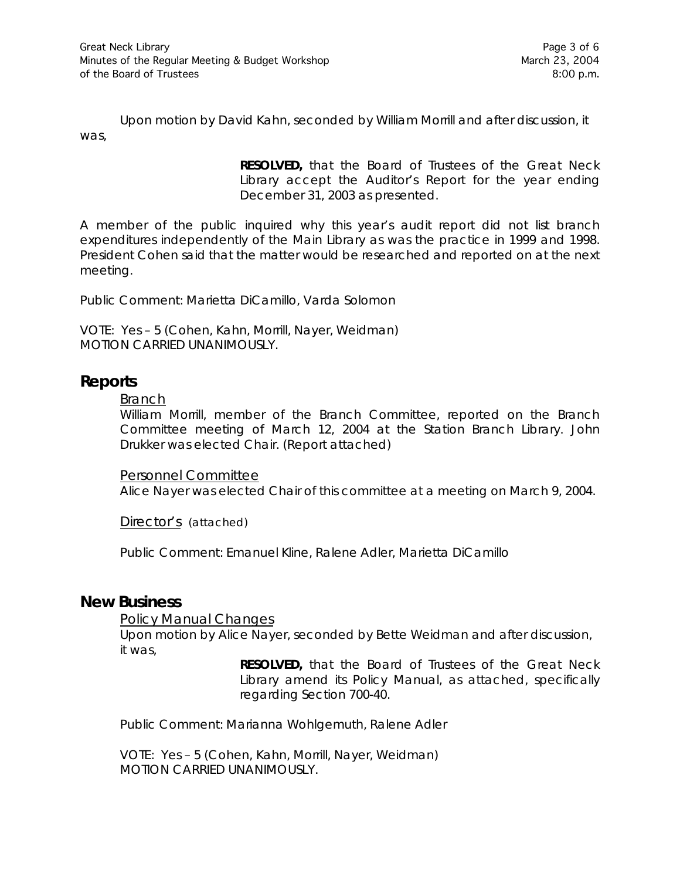Upon motion by David Kahn, seconded by William Morrill and after discussion, it was,

> **RESOLVED,** that the Board of Trustees of the Great Neck Library accept the Auditor's Report for the year ending December 31, 2003 as presented.

A member of the public inquired why this year's audit report did not list branch expenditures independently of the Main Library as was the practice in 1999 and 1998. President Cohen said that the matter would be researched and reported on at the next meeting.

Public Comment: Marietta DiCamillo, Varda Solomon

VOTE:Yes – 5 (Cohen, Kahn, Morrill, Nayer, Weidman) *MOTION CARRIED UNANIMOUSLY.*

## **Reports**

#### Branch

William Morrill, member of the Branch Committee, reported on the Branch Committee meeting of March 12, 2004 at the Station Branch Library. John Drukker was elected Chair. (Report attached)

Personnel Committee

Alice Nayer was elected Chair of this committee at a meeting on March 9, 2004.

Director's (attached)

Public Comment: Emanuel Kline, Ralene Adler, Marietta DiCamillo

### **New Business**

Policy Manual Changes

Upon motion by Alice Nayer, seconded by Bette Weidman and after discussion, it was,

> **RESOLVED,** that the Board of Trustees of the Great Neck Library amend its Policy Manual, as attached, specifically regarding Section 700-40.

Public Comment: Marianna Wohlgemuth, Ralene Adler

VOTE:Yes – 5 (Cohen, Kahn, Morrill, Nayer, Weidman) *MOTION CARRIED UNANIMOUSLY.*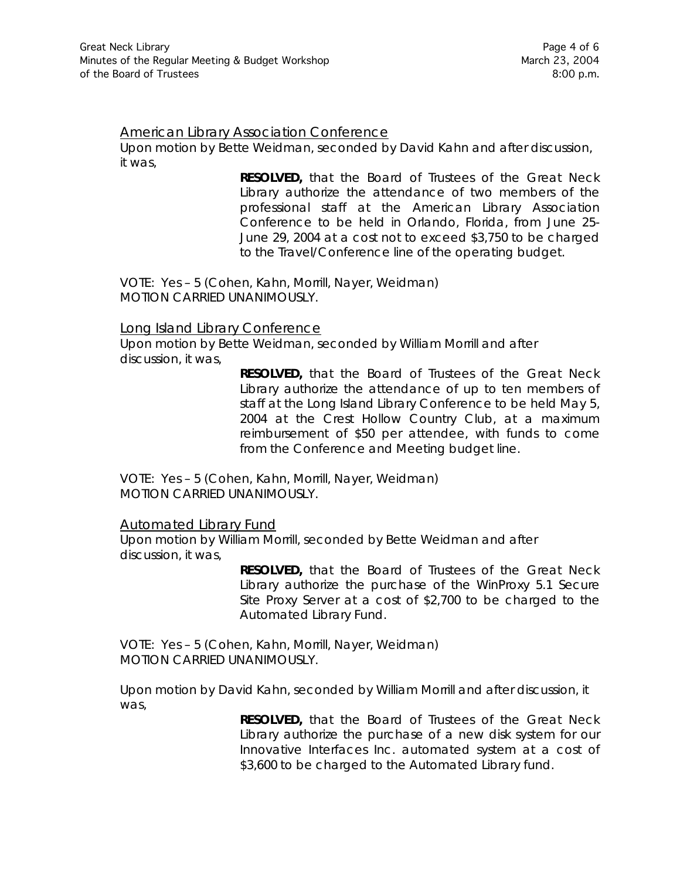#### American Library Association Conference

Upon motion by Bette Weidman, seconded by David Kahn and after discussion, it was,

> **RESOLVED,** that the Board of Trustees of the Great Neck Library authorize the attendance of two members of the professional staff at the American Library Association Conference to be held in Orlando, Florida, from June 25- June 29, 2004 at a cost not to exceed \$3,750 to be charged to the Travel/Conference line of the operating budget.

VOTE:Yes – 5 (Cohen, Kahn, Morrill, Nayer, Weidman) *MOTION CARRIED UNANIMOUSLY.*

#### Long Island Library Conference

Upon motion by Bette Weidman, seconded by William Morrill and after discussion, it was,

> **RESOLVED,** that the Board of Trustees of the Great Neck Library authorize the attendance of up to ten members of staff at the Long Island Library Conference to be held May 5, 2004 at the Crest Hollow Country Club, at a maximum reimbursement of \$50 per attendee, with funds to come from the Conference and Meeting budget line.

VOTE:Yes – 5 (Cohen, Kahn, Morrill, Nayer, Weidman) *MOTION CARRIED UNANIMOUSLY.*

#### Automated Library Fund

Upon motion by William Morrill, seconded by Bette Weidman and after discussion, it was,

> **RESOLVED,** that the Board of Trustees of the Great Neck Library authorize the purchase of the WinProxy 5.1 Secure Site Proxy Server at a cost of \$2,700 to be charged to the Automated Library Fund.

VOTE:Yes – 5 (Cohen, Kahn, Morrill, Nayer, Weidman) *MOTION CARRIED UNANIMOUSLY.*

Upon motion by David Kahn, seconded by William Morrill and after discussion, it was,

> **RESOLVED,** that the Board of Trustees of the Great Neck Library authorize the purchase of a new disk system for our Innovative Interfaces Inc. automated system at a cost of \$3,600 to be charged to the Automated Library fund.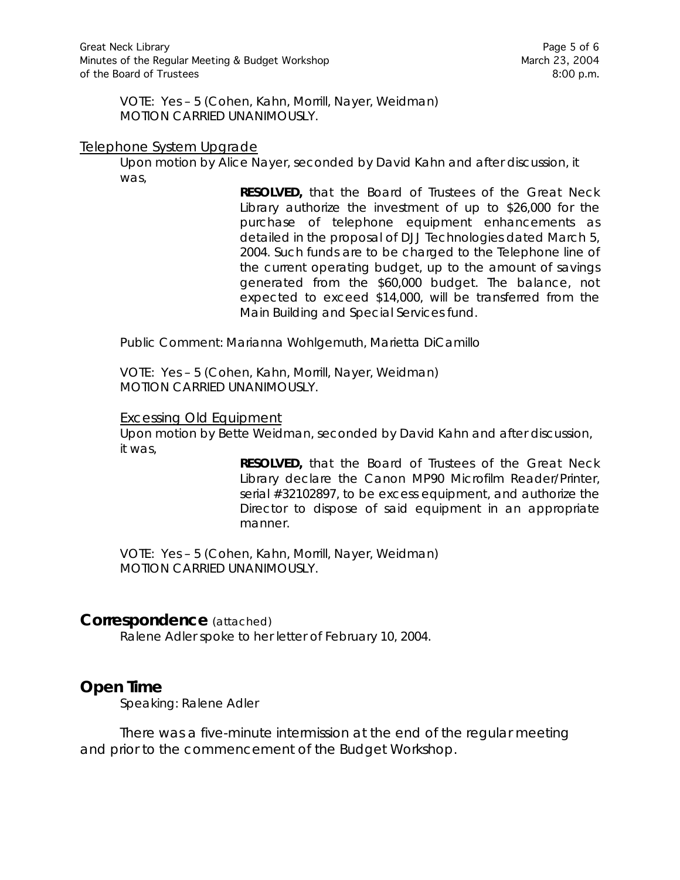VOTE:Yes – 5 (Cohen, Kahn, Morrill, Nayer, Weidman) *MOTION CARRIED UNANIMOUSLY.*

#### Telephone System Upgrade

Upon motion by Alice Nayer, seconded by David Kahn and after discussion, it was,

> **RESOLVED,** that the Board of Trustees of the Great Neck Library authorize the investment of up to \$26,000 for the purchase of telephone equipment enhancements as detailed in the proposal of DJJ Technologies dated March 5, 2004. Such funds are to be charged to the Telephone line of the current operating budget, up to the amount of savings generated from the \$60,000 budget. The balance, not expected to exceed \$14,000, will be transferred from the Main Building and Special Services fund.

Public Comment: Marianna Wohlgemuth, Marietta DiCamillo

VOTE:Yes – 5 (Cohen, Kahn, Morrill, Nayer, Weidman) *MOTION CARRIED UNANIMOUSLY.*

#### Excessing Old Equipment

Upon motion by Bette Weidman, seconded by David Kahn and after discussion, it was,

> **RESOLVED,** that the Board of Trustees of the Great Neck Library declare the Canon MP90 Microfilm Reader/Printer, serial #32102897, to be excess equipment, and authorize the Director to dispose of said equipment in an appropriate manner.

VOTE:Yes – 5 (Cohen, Kahn, Morrill, Nayer, Weidman) *MOTION CARRIED UNANIMOUSLY.*

#### **Correspondence** (attached)

Ralene Adler spoke to her letter of February 10, 2004.

### **Open Time**

Speaking: Ralene Adler

There was a five-minute intermission at the end of the regular meeting and prior to the commencement of the Budget Workshop.